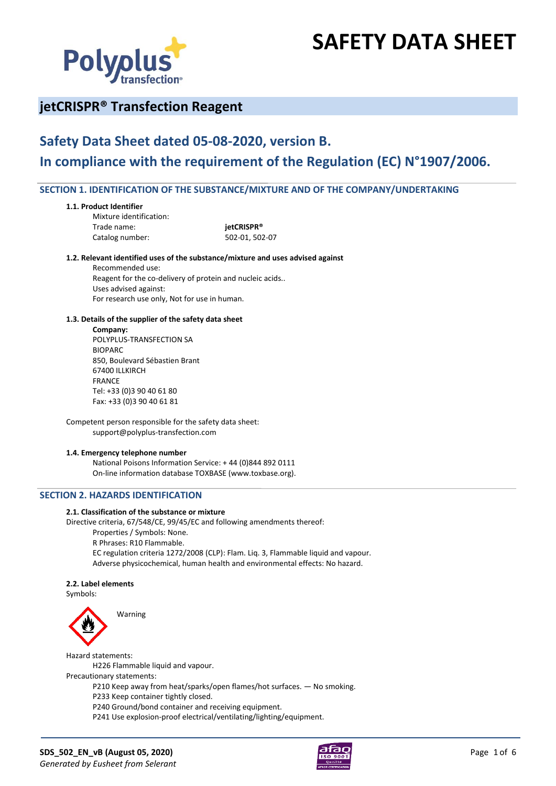

# **SAFETY DATA SHEET**

# **jetCRISPR® Transfection Reagent**

# **Safety Data Sheet dated 05-08-2020, version B. In compliance with the requirement of the Regulation (EC) N°1907/2006.**

# **SECTION 1. IDENTIFICATION OF THE SUBSTANCE/MIXTURE AND OF THE COMPANY/UNDERTAKING**

#### **1.1. Product Identifier**

Mixture identification: Trade name: **jetCRISPR®**

Catalog number: 502-01, 502-07

#### **1.2. Relevant identified uses of the substance/mixture and uses advised against**

Recommended use: Reagent for the co-delivery of protein and nucleic acids.. Uses advised against: For research use only, Not for use in human.

#### **1.3. Details of the supplier of the safety data sheet**

**Company:**

POLYPLUS-TRANSFECTION SA BIOPARC 850, Boulevard Sébastien Brant 67400 ILLKIRCH FRANCE Tel: +33 (0)3 90 40 61 80 Fax: +33 (0)3 90 40 61 81

Competent person responsible for the safety data sheet: support@polyplus-transfection.com

#### **1.4. Emergency telephone number**

National Poisons Information Service: + 44 (0)844 892 0111 On-line information database TOXBASE (www.toxbase.org).

# **SECTION 2. HAZARDS IDENTIFICATION**

#### **2.1. Classification of the substance or mixture**

Directive criteria, 67/548/CE, 99/45/EC and following amendments thereof:

Properties / Symbols: None.

R Phrases: R10 Flammable.

EC regulation criteria 1272/2008 (CLP): Flam. Liq. 3, Flammable liquid and vapour. Adverse physicochemical, human health and environmental effects: No hazard.

#### **2.2. Label elements**

Symbols:



Warning

Hazard statements: H226 Flammable liquid and vapour. Precautionary statements: P210 Keep away from heat/sparks/open flames/hot surfaces. — No smoking. P233 Keep container tightly closed. P240 Ground/bond container and receiving equipment.

P241 Use explosion-proof electrical/ventilating/lighting/equipment.

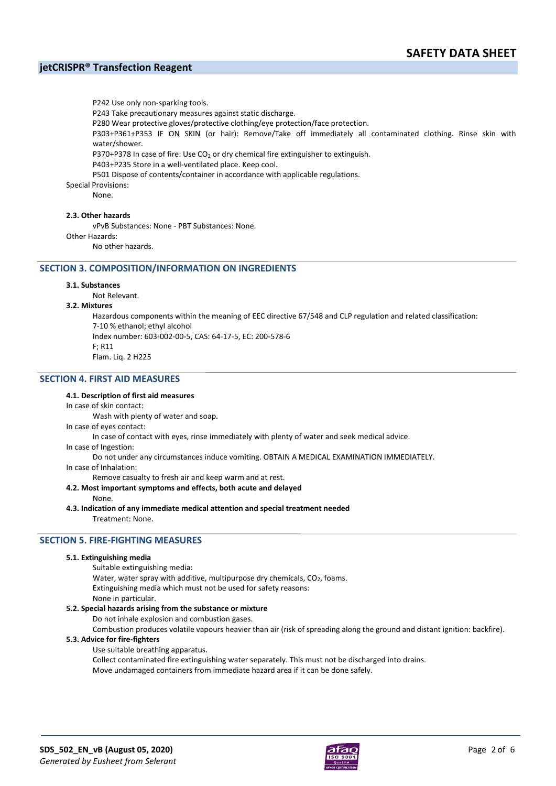P242 Use only non-sparking tools. P243 Take precautionary measures against static discharge. P280 Wear protective gloves/protective clothing/eye protection/face protection. P303+P361+P353 IF ON SKIN (or hair): Remove/Take off immediately all contaminated clothing. Rinse skin with water/shower. P370+P378 In case of fire: Use  $CO<sub>2</sub>$  or dry chemical fire extinguisher to extinguish. P403+P235 Store in a well-ventilated place. Keep cool. P501 Dispose of contents/container in accordance with applicable regulations. Special Provisions:

None.

#### **2.3. Other hazards**

vPvB Substances: None - PBT Substances: None.

Other Hazards:

No other hazards.

#### **SECTION 3. COMPOSITION/INFORMATION ON INGREDIENTS**

#### **3.1. Substances**

Not Relevant.

#### **3.2. Mixtures**

Hazardous components within the meaning of EEC directive 67/548 and CLP regulation and related classification: 7-10 % ethanol; ethyl alcohol Index number: 603-002-00-5, CAS: 64-17-5, EC: 200-578-6  $F: R11$ Flam. Liq. 2 H225

#### **SECTION 4. FIRST AID MEASURES**

#### **4.1. Description of first aid measures**

#### In case of skin contact:

Wash with plenty of water and soap.

In case of eyes contact:

In case of contact with eyes, rinse immediately with plenty of water and seek medical advice.

In case of Ingestion:

Do not under any circumstances induce vomiting. OBTAIN A MEDICAL EXAMINATION IMMEDIATELY.

In case of Inhalation:

Remove casualty to fresh air and keep warm and at rest.

**4.2. Most important symptoms and effects, both acute and delayed**

None.

**4.3. Indication of any immediate medical attention and special treatment needed**

Treatment: None.

#### **SECTION 5. FIRE-FIGHTING MEASURES**

#### **5.1. Extinguishing media**

Suitable extinguishing media:

Water, water spray with additive, multipurpose dry chemicals, CO<sub>2</sub>, foams.

Extinguishing media which must not be used for safety reasons:

None in particular.

#### **5.2. Special hazards arising from the substance or mixture**

Do not inhale explosion and combustion gases.

Combustion produces volatile vapours heavier than air (risk of spreading along the ground and distant ignition: backfire).

#### **5.3. Advice for fire-fighters**

Use suitable breathing apparatus.

Collect contaminated fire extinguishing water separately. This must not be discharged into drains.

Move undamaged containers from immediate hazard area if it can be done safely.

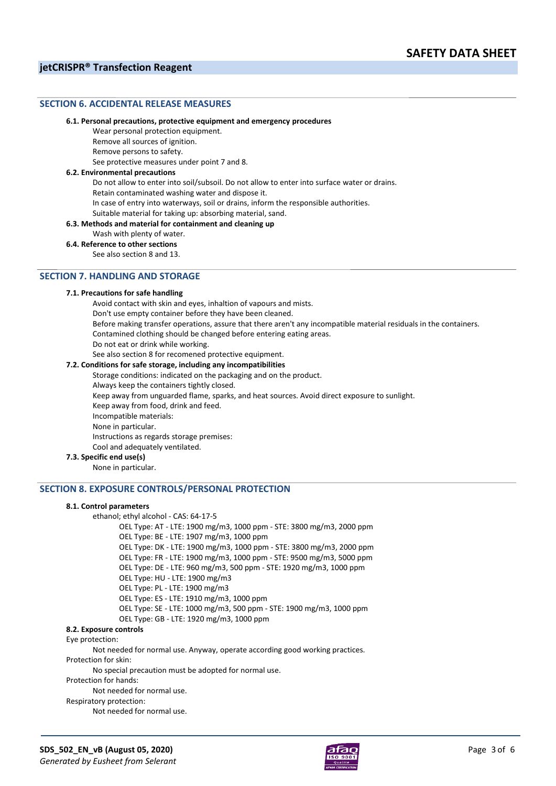#### **SECTION 6. ACCIDENTAL RELEASE MEASURES**

#### **6.1. Personal precautions, protective equipment and emergency procedures**

Wear personal protection equipment.

Remove all sources of ignition.

Remove persons to safety.

See protective measures under point 7 and 8.

#### **6.2. Environmental precautions**

Do not allow to enter into soil/subsoil. Do not allow to enter into surface water or drains.

Retain contaminated washing water and dispose it.

In case of entry into waterways, soil or drains, inform the responsible authorities.

## Suitable material for taking up: absorbing material, sand.

**6.3. Methods and material for containment and cleaning up**

Wash with plenty of water.

**6.4. Reference to other sections**

See also section 8 and 13.

# **SECTION 7. HANDLING AND STORAGE**

#### **7.1. Precautions for safe handling**

Avoid contact with skin and eyes, inhaltion of vapours and mists. Don't use empty container before they have been cleaned. Before making transfer operations, assure that there aren't any incompatible material residuals in the containers. Contamined clothing should be changed before entering eating areas. Do not eat or drink while working. See also section 8 for recomened protective equipment. **7.2. Conditions for safe storage, including any incompatibilities** Storage conditions: indicated on the packaging and on the product. Always keep the containers tightly closed. Keep away from unguarded flame, sparks, and heat sources. Avoid direct exposure to sunlight. Keep away from food, drink and feed.

Incompatible materials:

None in particular.

Instructions as regards storage premises:

Cool and adequately ventilated.

**7.3. Specific end use(s)**

None in particular.

#### **SECTION 8. EXPOSURE CONTROLS/PERSONAL PROTECTION**

#### **8.1. Control parameters**

ethanol; ethyl alcohol - CAS: 64-17-5

OEL Type: AT - LTE: 1900 mg/m3, 1000 ppm - STE: 3800 mg/m3, 2000 ppm OEL Type: BE - LTE: 1907 mg/m3, 1000 ppm

OEL Type: DK - LTE: 1900 mg/m3, 1000 ppm - STE: 3800 mg/m3, 2000 ppm

OEL Type: FR - LTE: 1900 mg/m3, 1000 ppm - STE: 9500 mg/m3, 5000 ppm

OEL Type: DE - LTE: 960 mg/m3, 500 ppm - STE: 1920 mg/m3, 1000 ppm

OEL Type: HU - LTE: 1900 mg/m3

OEL Type: PL - LTE: 1900 mg/m3

OEL Type: ES - LTE: 1910 mg/m3, 1000 ppm

OEL Type: SE - LTE: 1000 mg/m3, 500 ppm - STE: 1900 mg/m3, 1000 ppm

OEL Type: GB - LTE: 1920 mg/m3, 1000 ppm

# **8.2. Exposure controls**

Eye protection:

Not needed for normal use. Anyway, operate according good working practices. Protection for skin:

No special precaution must be adopted for normal use.

Protection for hands:

Not needed for normal use.

Respiratory protection:

Not needed for normal use.

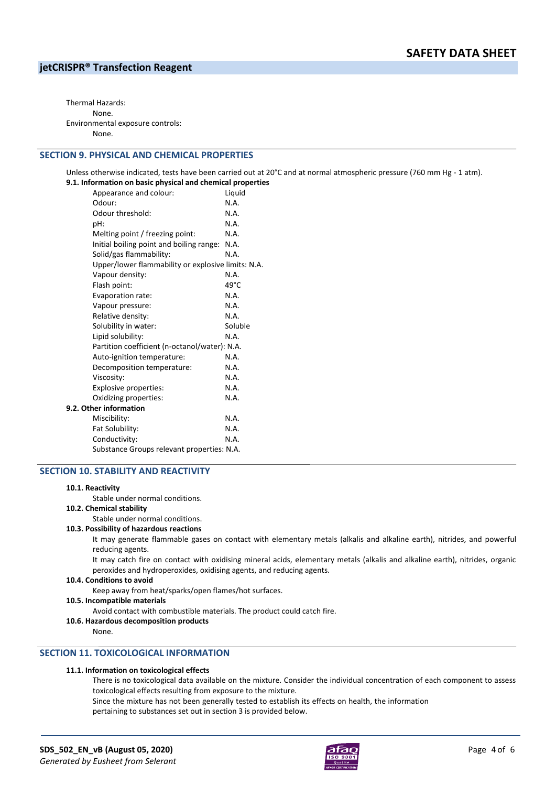Thermal Hazards: None. Environmental exposure controls: None.

#### **SECTION 9. PHYSICAL AND CHEMICAL PROPERTIES**

Unless otherwise indicated, tests have been carried out at 20°C and at normal atmospheric pressure (760 mm Hg - 1 atm). **9.1. Information on basic physical and chemical properties**

| Appearance and colour:                             | Liquid  |
|----------------------------------------------------|---------|
| Odour:                                             | N.A.    |
| Odour threshold:                                   | N.A.    |
| pH:                                                | N.A.    |
| Melting point / freezing point:                    | N.A.    |
| Initial boiling point and boiling range:           | N.A.    |
| Solid/gas flammability:                            | N.A.    |
| Upper/lower flammability or explosive limits: N.A. |         |
| Vapour density:                                    | N.A.    |
| Flash point:                                       | 49°C    |
| Evaporation rate:                                  | N.A.    |
| Vapour pressure:                                   | N.A.    |
| Relative density:                                  | N.A.    |
| Solubility in water:                               | Soluble |
| Lipid solubility:                                  | N.A.    |
| Partition coefficient (n-octanol/water): N.A.      |         |
| Auto-ignition temperature:                         | N.A.    |
| Decomposition temperature:                         | N.A.    |
| Viscosity:                                         | N.A.    |
| Explosive properties:                              | N.A.    |
| Oxidizing properties:                              | N.A.    |
| 9.2. Other information                             |         |
| Miscibility:                                       | N.A.    |
| Fat Solubility:                                    | N.A.    |
| Conductivity:                                      | N.A.    |
| Substance Groups relevant properties: N.A.         |         |
|                                                    |         |

#### **SECTION 10. STABILITY AND REACTIVITY**

#### **10.1. Reactivity**

Stable under normal conditions.

#### **10.2. Chemical stability**

Stable under normal conditions.

#### **10.3. Possibility of hazardous reactions**

It may generate flammable gases on contact with elementary metals (alkalis and alkaline earth), nitrides, and powerful reducing agents.

It may catch fire on contact with oxidising mineral acids, elementary metals (alkalis and alkaline earth), nitrides, organic peroxides and hydroperoxides, oxidising agents, and reducing agents.

#### **10.4. Conditions to avoid**

Keep away from heat/sparks/open flames/hot surfaces.

#### **10.5. Incompatible materials**

Avoid contact with combustible materials. The product could catch fire.

**10.6. Hazardous decomposition products**

None.

# **SECTION 11. TOXICOLOGICAL INFORMATION**

#### **11.1. Information on toxicological effects**

There is no toxicological data available on the mixture. Consider the individual concentration of each component to assess toxicological effects resulting from exposure to the mixture.

Since the mixture has not been generally tested to establish its effects on health, the information

pertaining to substances set out in section 3 is provided below.

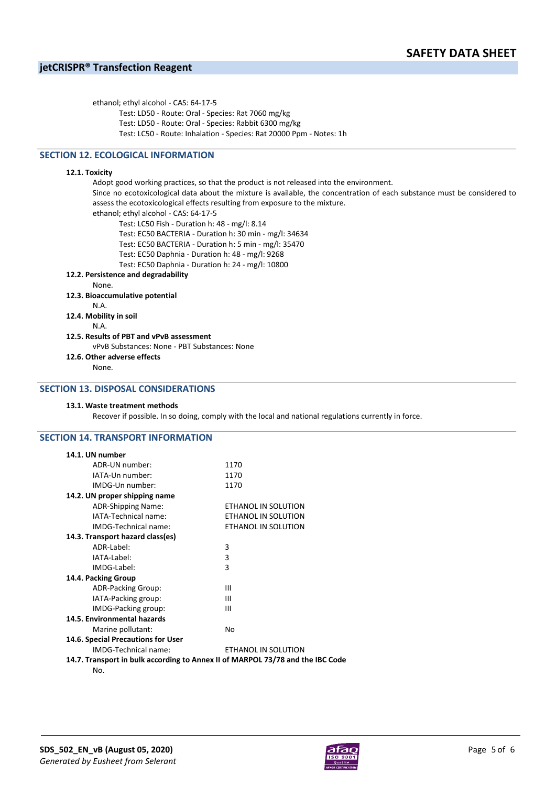ethanol; ethyl alcohol - CAS: 64-17-5 Test: LD50 - Route: Oral - Species: Rat 7060 mg/kg Test: LD50 - Route: Oral - Species: Rabbit 6300 mg/kg Test: LC50 - Route: Inhalation - Species: Rat 20000 Ppm - Notes: 1h

# **SECTION 12. ECOLOGICAL INFORMATION**

#### **12.1. Toxicity**

Adopt good working practices, so that the product is not released into the environment. Since no ecotoxicological data about the mixture is available, the concentration of each substance must be considered to assess the ecotoxicological effects resulting from exposure to the mixture. ethanol; ethyl alcohol - CAS: 64-17-5 Test: LC50 Fish - Duration h: 48 - mg/l: 8.14 Test: EC50 BACTERIA - Duration h: 30 min - mg/l: 34634 Test: EC50 BACTERIA - Duration h: 5 min - mg/l: 35470 Test: EC50 Daphnia - Duration h: 48 - mg/l: 9268 Test: EC50 Daphnia - Duration h: 24 - mg/l: 10800 **12.2. Persistence and degradability** None. **12.3. Bioaccumulative potential** N.A. **12.4. Mobility in soil** N.A. **12.5. Results of PBT and vPvB assessment** vPvB Substances: None - PBT Substances: None **12.6. Other adverse effects** None.

# **SECTION 13. DISPOSAL CONSIDERATIONS**

#### **13.1. Waste treatment methods**

Recover if possible. In so doing, comply with the local and national regulations currently in force.

## **SECTION 14. TRANSPORT INFORMATION**

| 14.1. UN number                    |                                                                                |
|------------------------------------|--------------------------------------------------------------------------------|
| ADR-UN number:                     | 1170                                                                           |
| IATA-Un number:                    | 1170                                                                           |
| IMDG-Un number:                    | 1170                                                                           |
| 14.2. UN proper shipping name      |                                                                                |
| ADR-Shipping Name:                 | ETHANOL IN SOLUTION                                                            |
| IATA-Technical name:               | ETHANOL IN SOLUTION                                                            |
| IMDG-Technical name:               | ETHANOL IN SOLUTION                                                            |
| 14.3. Transport hazard class(es)   |                                                                                |
| ADR-Label:                         | 3                                                                              |
| IATA-Label:                        | 3                                                                              |
| IMDG-Label:                        | 3                                                                              |
| 14.4. Packing Group                |                                                                                |
| ADR-Packing Group:                 | Ш                                                                              |
| IATA-Packing group:                | Ш                                                                              |
| IMDG-Packing group:                | Ш                                                                              |
| 14.5. Environmental hazards        |                                                                                |
| Marine pollutant:                  | No                                                                             |
| 14.6. Special Precautions for User |                                                                                |
| IMDG-Technical name:               | ETHANOL IN SOLUTION                                                            |
|                                    | 14.7. Transport in bulk according to Annex II of MARPOL 73/78 and the IBC Code |
| No.                                |                                                                                |